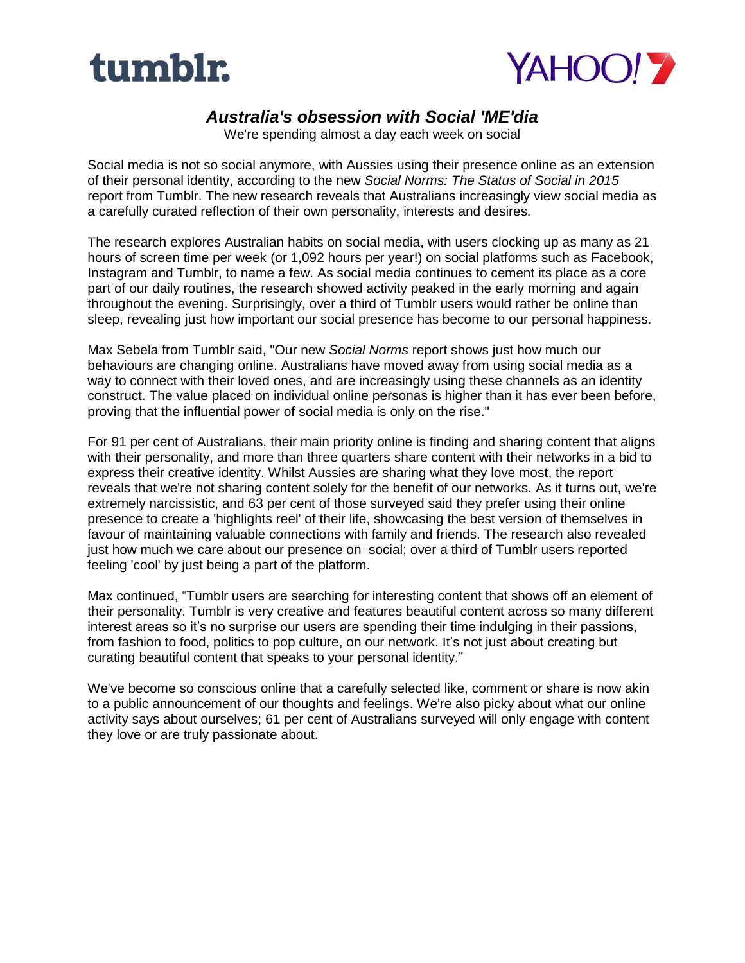



## *Australia's obsession with Social 'ME'dia*

We're spending almost a day each week on social

Social media is not so social anymore, with Aussies using their presence online as an extension of their personal identity, according to the new *Social Norms: The Status of Social in 2015*  report from Tumblr. The new research reveals that Australians increasingly view social media as a carefully curated reflection of their own personality, interests and desires.

The research explores Australian habits on social media, with users clocking up as many as 21 hours of screen time per week (or 1,092 hours per year!) on social platforms such as Facebook, Instagram and Tumblr, to name a few. As social media continues to cement its place as a core part of our daily routines, the research showed activity peaked in the early morning and again throughout the evening. Surprisingly, over a third of Tumblr users would rather be online than sleep, revealing just how important our social presence has become to our personal happiness.

Max Sebela from Tumblr said, "Our new *Social Norms* report shows just how much our behaviours are changing online. Australians have moved away from using social media as a way to connect with their loved ones, and are increasingly using these channels as an identity construct. The value placed on individual online personas is higher than it has ever been before, proving that the influential power of social media is only on the rise."

For 91 per cent of Australians, their main priority online is finding and sharing content that aligns with their personality, and more than three quarters share content with their networks in a bid to express their creative identity. Whilst Aussies are sharing what they love most, the report reveals that we're not sharing content solely for the benefit of our networks. As it turns out, we're extremely narcissistic, and 63 per cent of those surveyed said they prefer using their online presence to create a 'highlights reel' of their life, showcasing the best version of themselves in favour of maintaining valuable connections with family and friends. The research also revealed just how much we care about our presence on social; over a third of Tumblr users reported feeling 'cool' by just being a part of the platform.

Max continued, "Tumblr users are searching for interesting content that shows off an element of their personality. Tumblr is very creative and features beautiful content across so many different interest areas so it's no surprise our users are spending their time indulging in their passions, from fashion to food, politics to pop culture, on our network. It's not just about creating but curating beautiful content that speaks to your personal identity."

We've become so conscious online that a carefully selected like, comment or share is now akin to a public announcement of our thoughts and feelings. We're also picky about what our online activity says about ourselves; 61 per cent of Australians surveyed will only engage with content they love or are truly passionate about.